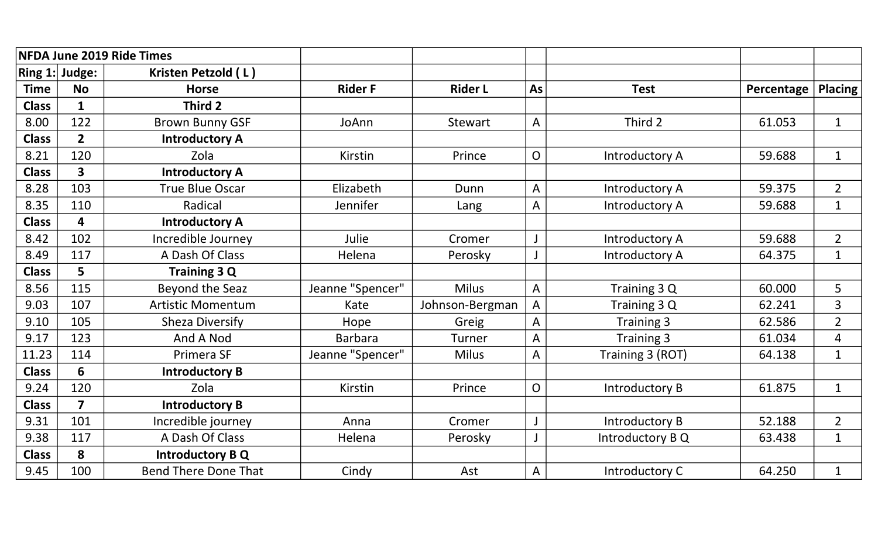| <b>NFDA June 2019 Ride Times</b> |                         |                             |                  |                 |                |                       |            |                         |
|----------------------------------|-------------------------|-----------------------------|------------------|-----------------|----------------|-----------------------|------------|-------------------------|
|                                  | Ring $1:$ Judge:        | Kristen Petzold (L)         |                  |                 |                |                       |            |                         |
| <b>Time</b>                      | <b>No</b>               | <b>Horse</b>                | <b>Rider F</b>   | <b>Rider L</b>  | As             | <b>Test</b>           | Percentage | <b>Placing</b>          |
| <b>Class</b>                     | $\mathbf{1}$            | Third 2                     |                  |                 |                |                       |            |                         |
| 8.00                             | 122                     | <b>Brown Bunny GSF</b>      | JoAnn            | Stewart         | A              | Third 2               | 61.053     | $\mathbf{1}$            |
| <b>Class</b>                     | $\overline{2}$          | <b>Introductory A</b>       |                  |                 |                |                       |            |                         |
| 8.21                             | 120                     | Zola                        | Kirstin          | Prince          | $\mathsf{O}$   | Introductory A        | 59.688     | $\mathbf{1}$            |
| <b>Class</b>                     | 3 <sup>1</sup>          | <b>Introductory A</b>       |                  |                 |                |                       |            |                         |
| 8.28                             | 103                     | <b>True Blue Oscar</b>      | Elizabeth        | Dunn            | A              | <b>Introductory A</b> | 59.375     | $\overline{2}$          |
| 8.35                             | 110                     | <b>Radical</b>              | Jennifer         | Lang            | A              | Introductory A        | 59.688     | $\mathbf{1}$            |
| <b>Class</b>                     | 4                       | <b>Introductory A</b>       |                  |                 |                |                       |            |                         |
| 8.42                             | 102                     | Incredible Journey          | Julie            | Cromer          |                | Introductory A        | 59.688     | $\overline{2}$          |
| 8.49                             | 117                     | A Dash Of Class             | Helena           | Perosky         |                | Introductory A        | 64.375     | $\mathbf{1}$            |
| <b>Class</b>                     | 5                       | Training 3 Q                |                  |                 |                |                       |            |                         |
| 8.56                             | 115                     | <b>Beyond the Seaz</b>      | Jeanne "Spencer" | <b>Milus</b>    | A              | Training 3 Q          | 60.000     | 5                       |
| 9.03                             | 107                     | <b>Artistic Momentum</b>    | Kate             | Johnson-Bergman | A              | Training 3 Q          | 62.241     | $\overline{3}$          |
| 9.10                             | 105                     | Sheza Diversify             | Hope             | Greig           | A              | Training 3            | 62.586     | $\overline{2}$          |
| 9.17                             | 123                     | And A Nod                   | <b>Barbara</b>   | Turner          | А              | Training 3            | 61.034     | $\overline{\mathbf{4}}$ |
| 11.23                            | 114                     | Primera SF                  | Jeanne "Spencer" | <b>Milus</b>    | A              | Training 3 (ROT)      | 64.138     | $\mathbf{1}$            |
| <b>Class</b>                     | 6                       | <b>Introductory B</b>       |                  |                 |                |                       |            |                         |
| 9.24                             | 120                     | Zola                        | Kirstin          | Prince          | $\overline{O}$ | Introductory B        | 61.875     | $\mathbf{1}$            |
| <b>Class</b>                     | $\overline{\mathbf{z}}$ | <b>Introductory B</b>       |                  |                 |                |                       |            |                         |
| 9.31                             | 101                     | Incredible journey          | Anna             | Cromer          |                | Introductory B        | 52.188     | $\overline{2}$          |
| 9.38                             | 117                     | A Dash Of Class             | Helena           | Perosky         |                | Introductory B Q      | 63.438     | $\mathbf{1}$            |
| <b>Class</b>                     | 8                       | <b>Introductory B Q</b>     |                  |                 |                |                       |            |                         |
| 9.45                             | 100                     | <b>Bend There Done That</b> | Cindy            | Ast             | A              | Introductory C        | 64.250     | $\mathbf{1}$            |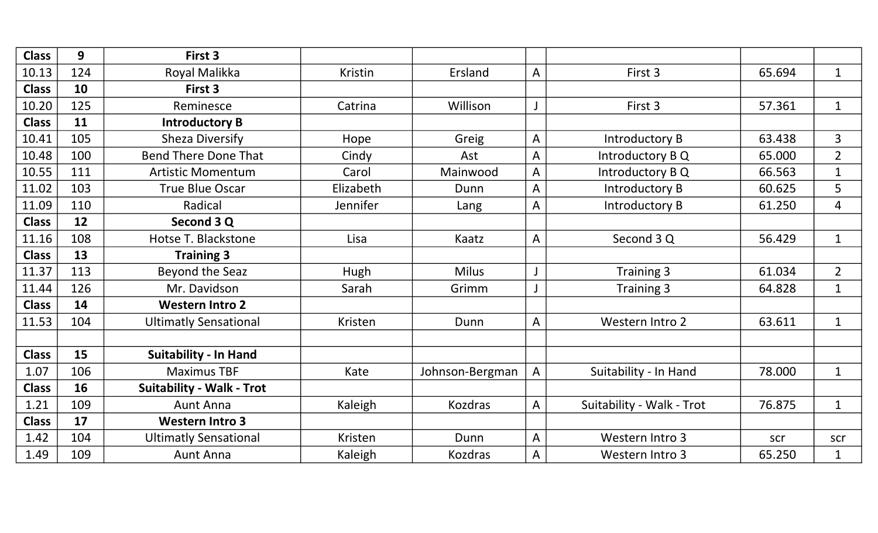| <b>Class</b> | 9   | First 3                          |                |                 |   |                           |        |                |
|--------------|-----|----------------------------------|----------------|-----------------|---|---------------------------|--------|----------------|
| 10.13        | 124 | Royal Malikka                    | <b>Kristin</b> | Ersland         | A | First 3                   | 65.694 | $\mathbf{1}$   |
| <b>Class</b> | 10  | First 3                          |                |                 |   |                           |        |                |
| 10.20        | 125 | Reminesce                        | Catrina        | Willison        | J | First 3                   | 57.361 | $\mathbf{1}$   |
| <b>Class</b> | 11  | <b>Introductory B</b>            |                |                 |   |                           |        |                |
| 10.41        | 105 | <b>Sheza Diversify</b>           | Hope           | Greig           | A | <b>Introductory B</b>     | 63.438 | 3              |
| 10.48        | 100 | <b>Bend There Done That</b>      | Cindy          | Ast             | A | Introductory B Q          | 65.000 | $\overline{2}$ |
| 10.55        | 111 | <b>Artistic Momentum</b>         | Carol          | Mainwood        | A | Introductory B Q          | 66.563 | $\mathbf{1}$   |
| 11.02        | 103 | <b>True Blue Oscar</b>           | Elizabeth      | Dunn            | A | <b>Introductory B</b>     | 60.625 | 5              |
| 11.09        | 110 | Radical                          | Jennifer       | Lang            | A | <b>Introductory B</b>     | 61.250 | $\overline{4}$ |
| <b>Class</b> | 12  | Second 3 Q                       |                |                 |   |                           |        |                |
| 11.16        | 108 | Hotse T. Blackstone              | Lisa           | Kaatz           | A | Second 3 Q                | 56.429 | $\mathbf{1}$   |
| <b>Class</b> | 13  | <b>Training 3</b>                |                |                 |   |                           |        |                |
| 11.37        | 113 | Beyond the Seaz                  | Hugh           | <b>Milus</b>    | J | Training 3                | 61.034 | $\overline{2}$ |
| 11.44        | 126 | Mr. Davidson                     | Sarah          | Grimm           |   | Training 3                | 64.828 | $\mathbf{1}$   |
| <b>Class</b> | 14  | <b>Western Intro 2</b>           |                |                 |   |                           |        |                |
| 11.53        | 104 | <b>Ultimatly Sensational</b>     | Kristen        | Dunn            | A | Western Intro 2           | 63.611 | $\mathbf{1}$   |
|              |     |                                  |                |                 |   |                           |        |                |
| <b>Class</b> | 15  | <b>Suitability - In Hand</b>     |                |                 |   |                           |        |                |
| 1.07         | 106 | <b>Maximus TBF</b>               | Kate           | Johnson-Bergman | A | Suitability - In Hand     | 78.000 | $\mathbf{1}$   |
| <b>Class</b> | 16  | <b>Suitability - Walk - Trot</b> |                |                 |   |                           |        |                |
| 1.21         | 109 | <b>Aunt Anna</b>                 | Kaleigh        | <b>Kozdras</b>  | A | Suitability - Walk - Trot | 76.875 | $\mathbf{1}$   |
| <b>Class</b> | 17  | <b>Western Intro 3</b>           |                |                 |   |                           |        |                |
| 1.42         | 104 | <b>Ultimatly Sensational</b>     | Kristen        | Dunn            | A | Western Intro 3           | scr    | scr            |
| 1.49         | 109 | <b>Aunt Anna</b>                 | Kaleigh        | <b>Kozdras</b>  | A | Western Intro 3           | 65.250 | $\mathbf{1}$   |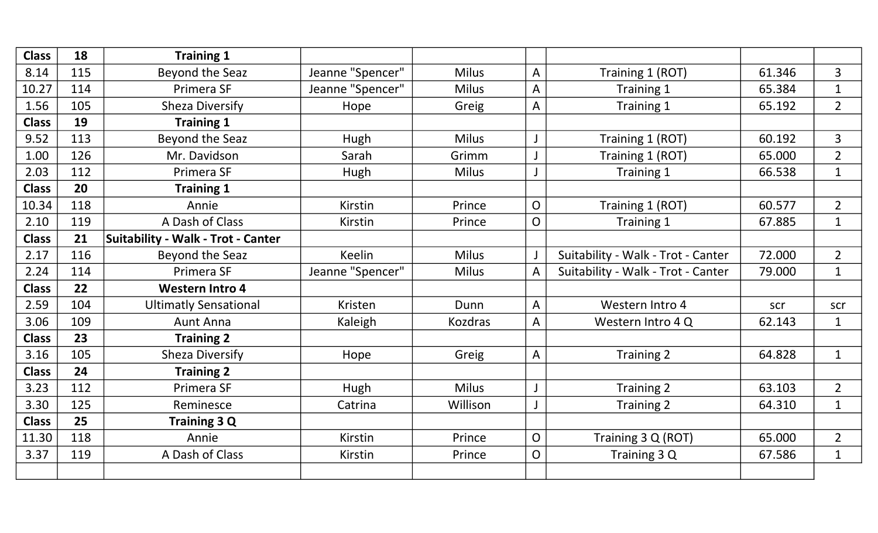| <b>Class</b> | 18  | <b>Training 1</b>                         |                  |                |                |                                    |        |                |
|--------------|-----|-------------------------------------------|------------------|----------------|----------------|------------------------------------|--------|----------------|
| 8.14         | 115 | Beyond the Seaz                           | Jeanne "Spencer" | <b>Milus</b>   | A              | Training 1 (ROT)                   | 61.346 | 3              |
| 10.27        | 114 | Primera SF                                | Jeanne "Spencer" | <b>Milus</b>   | A              | Training 1                         | 65.384 | $\mathbf{1}$   |
| 1.56         | 105 | <b>Sheza Diversify</b>                    | Hope             | Greig          | A              | Training 1                         | 65.192 | $\overline{2}$ |
| <b>Class</b> | 19  | <b>Training 1</b>                         |                  |                |                |                                    |        |                |
| 9.52         | 113 | Beyond the Seaz                           | Hugh             | <b>Milus</b>   | J              | Training 1 (ROT)                   | 60.192 | 3              |
| 1.00         | 126 | Mr. Davidson                              | Sarah            | Grimm          |                | Training 1 (ROT)                   | 65.000 | $\overline{2}$ |
| 2.03         | 112 | Primera SF                                | Hugh             | <b>Milus</b>   | J              | Training 1                         | 66.538 | $\mathbf{1}$   |
| <b>Class</b> | 20  | <b>Training 1</b>                         |                  |                |                |                                    |        |                |
| 10.34        | 118 | Annie                                     | Kirstin          | Prince         | $\overline{O}$ | Training 1 (ROT)                   | 60.577 | $\overline{2}$ |
| 2.10         | 119 | A Dash of Class                           | <b>Kirstin</b>   | Prince         | O              | Training 1                         | 67.885 | $\mathbf{1}$   |
| <b>Class</b> | 21  | <b>Suitability - Walk - Trot - Canter</b> |                  |                |                |                                    |        |                |
| 2.17         | 116 | Beyond the Seaz                           | <b>Keelin</b>    | <b>Milus</b>   |                | Suitability - Walk - Trot - Canter | 72.000 | $\overline{2}$ |
| 2.24         | 114 | Primera SF                                | Jeanne "Spencer" | <b>Milus</b>   | A              | Suitability - Walk - Trot - Canter | 79.000 | $\mathbf{1}$   |
| <b>Class</b> | 22  | <b>Western Intro 4</b>                    |                  |                |                |                                    |        |                |
| 2.59         | 104 | <b>Ultimatly Sensational</b>              | Kristen          | Dunn           | A              | Western Intro 4                    | scr    | scr            |
| 3.06         | 109 | <b>Aunt Anna</b>                          | Kaleigh          | <b>Kozdras</b> | A              | Western Intro 4 Q                  | 62.143 | $\mathbf{1}$   |
| <b>Class</b> | 23  | <b>Training 2</b>                         |                  |                |                |                                    |        |                |
| 3.16         | 105 | <b>Sheza Diversify</b>                    | Hope             | Greig          | A              | Training 2                         | 64.828 | $\mathbf{1}$   |
| <b>Class</b> | 24  | <b>Training 2</b>                         |                  |                |                |                                    |        |                |
| 3.23         | 112 | Primera SF                                | Hugh             | <b>Milus</b>   |                | Training 2                         | 63.103 | $\overline{2}$ |
| 3.30         | 125 | Reminesce                                 | Catrina          | Willison       | J              | Training 2                         | 64.310 | $\mathbf{1}$   |
| <b>Class</b> | 25  | <b>Training 3 Q</b>                       |                  |                |                |                                    |        |                |
| 11.30        | 118 | Annie                                     | Kirstin          | Prince         | $\overline{O}$ | Training 3 Q (ROT)                 | 65.000 | $\overline{2}$ |
| 3.37         | 119 | A Dash of Class                           | <b>Kirstin</b>   | Prince         | $\overline{O}$ | Training 3 Q                       | 67.586 | $\mathbf{1}$   |
|              |     |                                           |                  |                |                |                                    |        |                |